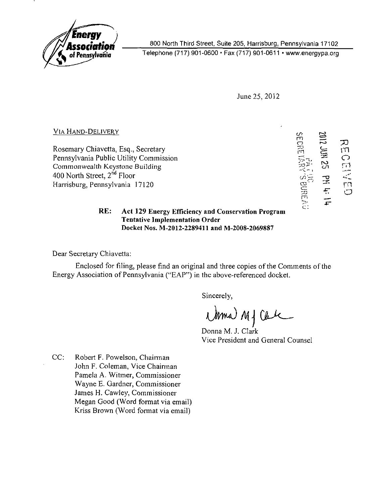

800 North Third Street, Suite 205, Harrisburg, Pennsylvania 17102

Telephone (717) 901-0600 • Fax (717) 901-0611 • www.energypa.org

June 25, 2012

VIA HAND-DELIVERY

Rosemary Chiavetta, Esq., Secretary Pennsylvania Public Utility Commission Commonwealth Keystone Building 400 North Street, 2<sup>nd</sup> Floor Harrisburg, Pennsylvania 17120

cr-m o  $\mathbf{r}$  $\mathcal{D}$  $\tilde{\phantom{a}}$ m<br>O  $\overleftarrow{\Xi}$  $\begin{bmatrix} 1 \\ -1 \\ -1 \\ 0 \end{bmatrix}$  $\sim$  $\mathbf{c}$  $-$  1 PH 4: co<br>E<br>F<br>J<br>C

#### RE: Act 129 Energy Efficiency and Conservation Program Tentative Implementation Order Docket Nos. M-2012-2289411 and M-2008-2069887

Dear Secretary Chiavetta:

Enclosed for filing, please find an original and three copies of the Comments of the Energy Association of Pennsylvania ("EAP") in the above-referenced docket.

Sincerely,

i) MJ Cale

Donna M. J. Clark Vice President and General Counsel

CC: Robert F. Powelson, Chairman John F. Coleman, Vice Chairman Pamela A. Witmer, Commissioner Wayne E. Gardner, Commissioner James H. Cawley, Commissioner Megan Good (Word format via email) Kriss Brown (Word format via email)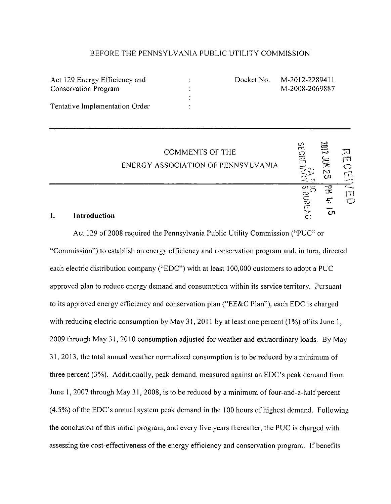#### BEFORE THE PENNSYLVANIA PUBLIC UTILITY COMMISSION

| Act 129 Energy Efficiency and  | Docket N |
|--------------------------------|----------|
| Conservation Program           |          |
|                                |          |
| Tentative Implementation Order |          |
|                                |          |

lo. M-2012-2289411 M-2008-2069887

|    |              | <b>COMMENTS OF THE</b><br>ENERGY ASSOCIATION OF PENNSYLVANIA | ω<br>m<br>つ                         | 7102<br>Ē<br>$\sim$<br>cл | IJ        |
|----|--------------|--------------------------------------------------------------|-------------------------------------|---------------------------|-----------|
| ı. | Introduction |                                                              | တ<br>≍<br><b>BUR</b><br>ز ۲۰<br>- כ | ΞX<br>47<br>ഗ             | 打开<br>زسم |

Act 129 of 2008 required the Pennsylvania Public Utility Commission ("PUC" or "Commission") to establish an energy efficiency and conservation program and. in turn, directed each electric distribution company ("EDC") with at least 100.000 customers to adopt a PUC approved plan to reduce energy demand and consumption within its service territory. Pursuant to its approved energy efficiency and conservation plan ("EE&C Plan"), each EDC is charged with reducing electric consumption by May 31, 2011 by at least one percent (1%) of its June 1, 2009 through May 31, 2010 consumption adjusted for weather and extraordinary loads. By May 31, 2013, the total annual weather normalized consumption is to be reduced by a minimum of three percent (3%). Additionally, peak demand, measured against an EDC's peak demand from June 1, 2007 through May 31, 2008, is to be reduced by a minimum of four-and-a-half percent  $(4.5\%)$  of the EDC's annual system peak demand in the 100 hours of highest demand. Following the conclusion of this initial program, and every five years thereafter, the PUC is charged with assessing the cost-effectiveness of the energy efficiency and conservation program. If benefits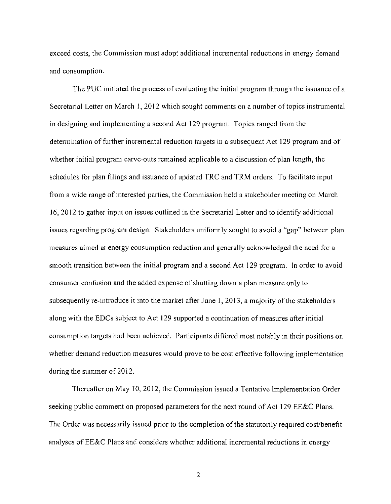exceed costs, the Commission must adopt additional incremental reductions in energy demand and consumption.

The PUC initiated the process of evaluating the initial program through the issuance of a Secretarial Letter on March 1, 2012 which sought comments on a number of topics instrumental in designing and implementing a second Act 129 program. Topics ranged from the determination of further incremental reduction targets in a subsequent Act 129 program and of whether initial program carve-outs remained applicable to a discussion of plan length, the schedules for plan filings and issuance of updated TRC and TRM orders. To facilitate input from a wide range of interested parties, the Commission held a stakeholder meeting on March 16, 2012 to gather input on issues outlined in the Secretarial Letter and to identify additional issues regarding program design. Stakeholders uniformly sought to avoid a "gap" between plan measures aimed at energy consumption reduction and generally acknowledged the need for a smooth transition between the initial program and a second Act 129 program. In order to avoid consumer confusion and the added expense of shutting down a plan measure only to subsequently re-introduce it into the market after June 1, 2013, a majority of the stakeholders along with the EDCs subject to Act 129 supported a continuation of measures after initial consumption targets had been achieved. Participants differed most notably in their positions on whether demand reduction measures would prove to be cost effective following implementation during the summer of 2012.

Thereafter on May 10, 2012, the Commission issued a Tentative Implementation Order seeking public comment on proposed parameters for the next round of Act 129 EE&C Plans. The Order was necessarily issued prior to the completion of the statutorily required cost/benefit analyses of EE&C Plans and considers whether additional incremental reductions in energy

 $\overline{2}$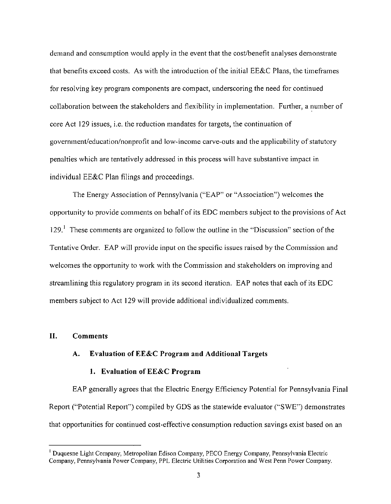demand and consumption would apply in the event that the cost/benefit analyses demonstrate that benefits exceed costs. As with the introduction of the initial EE&C Plans, the timeframes for resolving key program components are compact, underscoring the need for continued collaboration between the stakeholders and flexibility in implementation. Further, a number of core Act 129 issues, i.e. the reduction mandates for targets, the continuation of government/education/nonprofit and low-income carve-outs and the applicability of statutory penalties which are tentatively addressed in this process will have substantive impact in individual EE&C Plan filings and proceedings.

The Energy Association of Pennsylvania ("EAP" or "Association") welcomes the opportunity to provide comments on behalf of its EDC members subject to the provisions of Act 129.<sup>1</sup> These comments are organized to follow the outline in the "Discussion" section of the Tentative Order. EAP will provide input on the specific issues raised by the Commission and welcomes the opportunity to work with the Commission and stakeholders on improving and streamlining this regulatory program in its second iteration. EAP notes that each of its EDC members subject to Act 129 will provide additional individualized comments.

#### **II. Comments**

#### **A. Evaluation of EE&C Program and Additional Targets**

#### **1. Evaluation of EE&C Program**

EAP generally agrees that the Electric Energy Efficiency Potential for Pennsylvania Final Report ("Potential Report") compiled by GDS as the statewide evaluator ("SWE") demonstrates that opportunities for continued cost-effective consumption reduction savings exist based on an

Duquesne Light Company, Metropolitan Edison Company, PECO Energy Company, Pennsylvania Electric Company, Pennsylvania Power Company. PPL Electric Utilities Corporation and West Penn Power Company.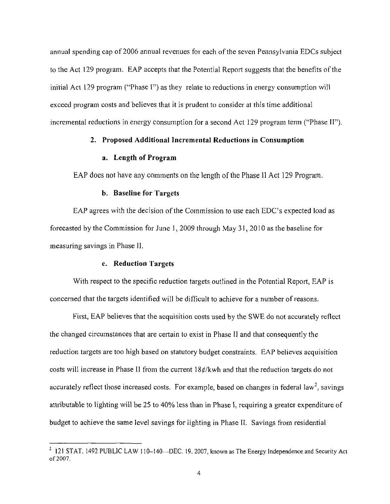**annual spending cap of 2006 annual revenues for each of the seven Pennsylvania EDCs subject to the Act 129 program. EAP accepts that the Potential Report suggests that the benefits of the initial Act 129 program ("Phase I") as they relate to reductions in energy consumption will exceed program costs and believes that it is prudent to consider at this time additional incremental reductions in energy consumption for a second Act 129 program term ("Phase II").** 

#### **2. Proposed Additional Incremental Reductions in Consumption**

#### **a. Length of Program**

EAP does not have any comments on the length of the Phase 11 Act 129 Program.

#### **b. Baseline for Targets**

EAP agrees with the decision of the Commission to use each EDC's expected load as **forecasted by the Commission for June 1, 2009 through May 31, 2010 as the baseline for measuring savings in Phase II.** 

#### **c. Reduction Targets**

With respect to the specific reduction targets outlined in the Potential Report, EAP is concerned that the targets identified will be difficult to achieve for a number of reasons.

First, EAP believes that the acquisition costs used by the SWE do not accurately reflect the changed circumstances that are certain to exist in Phase 11 and that consequently the reduction targets are too high based on statutory budget constraints. EAP believes acquisition costs will increase in Phase II from the current  $18¢/kwh$  and that the reduction targets do not accurately reflect those increased costs. For example, based on changes in federal law<sup>2</sup>, savings attributable to lighting will be 25 to 40% less than in Phase 1, requiring a greater expenditure of budget to achieve the same level savings for lighting in Phase II. Savings from residential

 $121$  STAT. 1492 PUBLIC LAW 110-140—DEC. 19, 2007, known as The Energy Independence and Security Act of 2007.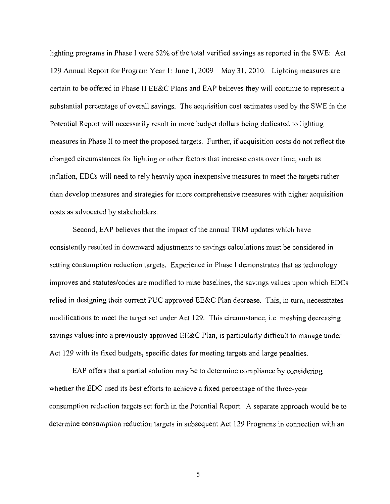lighting programs in Phase I were 52% of the total verified savings as reported in the SWE: Act 129 Annual Report for Program Year 1: June 1, 2009 – May 31, 2010. Lighting measures are certain to be offered in Phase II EE&C Plans and EAP believes they will continue to represent a substantial percentage of overall savings. The acquisition cost estimates used by the SWE in the Potential Report will necessarily result in more budget dollars being dedicated to lighting measures in Phase II to meet the proposed targets. Further, if acquisition costs do not reflect the changed circumstances for lighting or other factors that increase costs over time, such as inflation, EDCs will need to rely heavily upon inexpensive measures to meet the targets rather than develop measures and strategies for more comprehensive measures with higher acquisition costs as advocated by stakeholders.

Second, EAP believes that the impact of the annual TRM updates which have consistently resulted in downward adjustments to savings calculations must be considered in setting consumption reduction targets. Experience in Phase I demonstrates that as technology improves and statutes/codes are modified to raise baselines, the savings values upon which EDCs relied in designing their current PUC approved EE&C Plan decrease. This, in turn, necessitates modifications to meet the target set under Act 129. This circumstance, i.e. meshing decreasing savings values into a previously approved EE&C Plan, is particularly difficult to manage under Act 129 with its fixed budgets, specific dates for meeting targets and large penalties.

EAP offers that a partial solution may be to determine compliance by considering whether the EDC used its best efforts to achieve a fixed percentage of the three-year consumption reduction targets set forth in the Potential Report. A separate approach would be to determine consumption reduction targets in subsequent Act 129 Programs in connection with an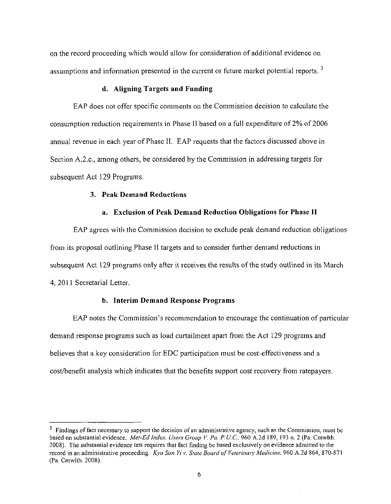on the record proceeding which would allow for consideration of additional evidence on assumptions and information presented in the current or future market potential reports.  $3$ 

#### d. Aligning Targets and Funding

EAP does not offer specific comments on the Commission decision to calculate the consumption reduction requirements in Phase II based on a full expenditure of 2% of 2006 annual revenue in each year of Phase II. EAP requests that the factors discussed above in Section A.2.C., among others, be considered by the Commission in addressing targets for subsequent Act 129 Programs.

#### **3. Peak Demand Reductions**

#### **a. Exclusion of Peak Demand Reduction Obligations for Phase II**

EAP agrees with the Commission decision to exclude peak demand reduction obligations from its proposal outlining Phase II targets and to consider further demand reductions in subsequent Act 129 programs only after it receives the results of the study outlined in its March 4,2011 Secretarial Letter.

#### **b. Interim Demand Response Programs**

EAP notes the Commission's recommendation to encourage the continuation of particular demand response programs such as load curtailment apart from the Act 129 programs and believes that a key consideration for EDC participation must be cost-effectiveness and a cost/benefit analysis which indicates that the benefits support cost recovery from ratepayers.

 $3$  Findings of fact necessary to support the decision of an administrative agency, such as the Commission, must be based on substantial evidence. Met-Ed Indus. Users Group V. Pa. P.U.C, 960 A.2d 189, 193 n. 2 (Pa. Cmwlth. 2008). The substantial evidence tesl requires that fact finding be based exclusively on evidence admitted to the record in an administrative proceeding. Kyu Son Yi v. State Board of Veterinary Medicine, 960 A.2d 864, 870-871 (Pa. Cmwlth. 2008).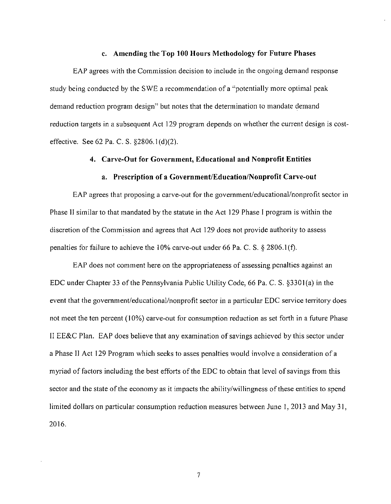#### **c. Amending the Top 100 Hours Methodology for Future Phases**

EAP agrees with the Commission decision to include in the ongoing demand response study being conducted by the SWE a recommendation of a "potentially more optimal peak demand reduction program design" but notes that the determination to mandate demand reduction targets in a subsequent Act 129 program depends on whether the current design is costeffective. See 62 Pa. C. S. §2806.1(d)(2).

#### **4. Carve-Out for Government, Educational and Nonprofit Entities**

#### **a. Prescription of a Government/Education/Nonprofit Carve-out**

EAP agrees that proposing a carve-out for the government/educational/nonprofit sector in Phase II similar to that mandated by the statute in the Act 129 Phase I program is within the discretion of the Commission and agrees that Act 129 does not provide authority to assess penalties for failure to achieve the 10% carve-out under 66 Pa. C. S. § 2806.1(f).

EAP does not comment here on the appropriateness of assessing penalties against an EDC under Chapter 33 of the Pennsylvania Public Utility Code, 66 Pa. C. S. §3301(a) in the event that the govemment/educational/nonprofit sector in a particular EDC service territory does not meet the ten percent (10%) carve-out for consumption reduction as set forth in a future Phase II EE&C Plan. EAP does believe that any examination of savings achieved by this sector under a Phase II Act 129 Program which seeks to asses penalties would involve a consideration of a myriad of factors including the best efforts of the EDC to obtain that level of savings from this sector and the state of the economy as it impacts the ability/willingness of these entities to spend limited dollars on particular consumption reduction measures between June 1, 2013 and May 31, 2016.

 $\overline{\tau}$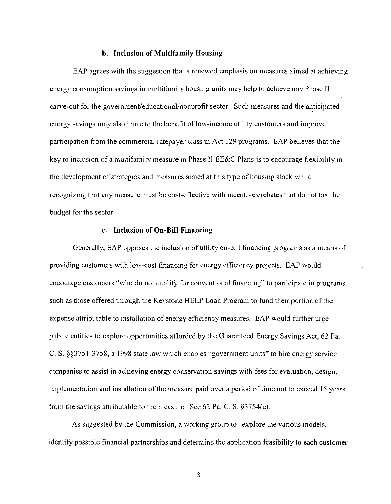#### **b. Inclusion of Multifamily Housing**

EAP agrees with the suggestion that a renewed emphasis on measures aimed at achieving energy consumption savings in multifamily housing units may help to achieve any Phase II carve-out for the government/educational/nonprofit sector. Such measures and the anticipated energy savings may also inure to the benefit of low-income utility customers and improve participation from the commercial ratepayer class in Act 129 programs. EAP believes that the key to inclusion of a multifamily measure in Phase II EE&C Plans is to encourage flexibility in the development of strategies and measures aimed at this type of housing stock while recognizing that any measure must be cost-effective with incentives/rebates that do not tax the budget for the sector.

#### **c. Inclusion of On-Bill Financing**

Generally, EAP opposes the inclusion of utility on-bill financing programs as a means of providing customers with low-cost financing for energy efficiency projects. EAP would encourage customers "who do not qualify for conventional financing" to participate in programs such as those offered through the Keystone HELP Loan Program to fund their portion of the expense attributable to installation of energy efficiency measures. EAP would further urge public entities to explore opportunities afforded by the Guaranteed Energy Savings Act, 62 Pa. C. S. §§3751-3758, a 1998 state law which enables "government units" to hire energy service companies to assist in achieving energy conservation savings with fees for evaluation, design, implementation and installation of the measure paid over a period of time not to exceed 15 years from the savings attributable to the measure. See 62 Pa. C. S. §3754(c).

As suggested by the Commission, a working group to "explore the various models, identify possible financial partnerships and detennine the application feasibility to each customer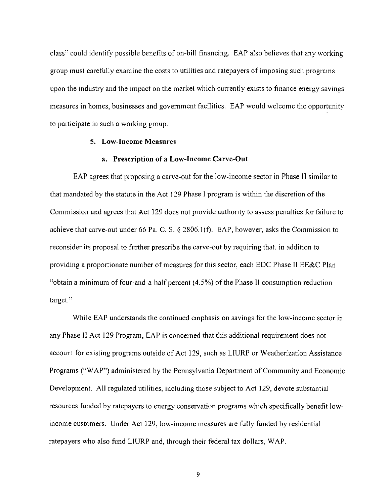class" could identify possible benefits of on-bill financing. EAP also believes that any working group must carefully examine the costs to utilities and ratepayers of imposing such programs upon the industry and the impact on the market which currently exists to finance energy savings measures in homes, businesses and government facilities. EAP would welcome the opportunity to participate in such a working group.

#### **5. Low-Income Measures**

#### a. Prescription of a Low-Income Carve-Out

EAP agrees that proposing a carve-out for the low-income sector in Phase II similar to that mandated by the statute in the Act 129 Phase I program is within the discretion of the Commission and agrees that Act 129 does not provide authority to assess penalties for failure to achieve that carve-out under 66 Pa. C. S. § 2806.1 (f). EAP, however, asks the Commission to reconsider its proposal to further prescribe the carve-out by requiring that, in addition to providing a proportionate number of measures for this sector, each EDC Phase II EE&C Plan "obtain a minimum of four-and-a-half percent (4.5%) of the Phase II consumption reduction target."

While EAP understands the continued emphasis on savings for the low-income sector in any Phase II Act 129 Program, EAP is concerned that this additional requirement does not account for existing programs outside of Act 129, such as LIURP or Weatherization Assistance Programs ("WAP") administered by the Pennsylvania Department of Community and Economic Development. AH regulated utilities, including those subject to Act 129, devote substantial resources funded by ratepayers to energy conservation programs which specifically benefit lowincome customers. Under Act 129, low-income measures are fully handed by residential ratepayers who also fund LIURP and, through their federal tax dollars, WAP.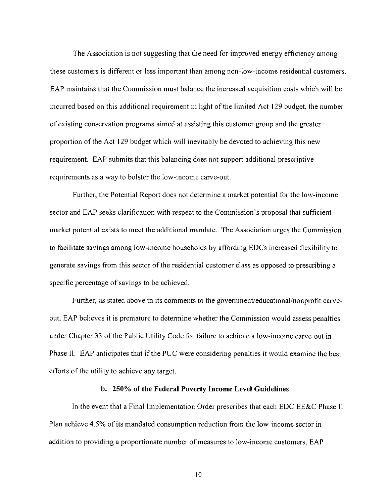The Association is not suggesting that the need for improved energy efficiency among these customers is different or less important than among non-low-income residential customers. EAP maintains that the Commission must balance the increased acquisition costs which will be incurred based on this additional requirement in light of the limited Act 129 budget, the number of existing conservation programs aimed at assisting this customer group and the greater proportion of the Act 129 budget which will inevitably be devoted to achieving this new requirement. EAP submits that this balancing does not support additional prescriptive requirements as a way to bolster the low-income carve-out.

Further, the Potential Report does not detennine a market potential for the low-income sector and EAP seeks clarification with respect to the Commission's proposal that sufficient market potential exists to meet the additional mandate. The Association urges the Commission to facilitate savings among low-income households by affording EDCs increased flexibility to generate savings from this sector of the residential customer class as opposed to prescribing a specific percentage of savings to be achieved.

Further, as stated above in its comments to the government/educational/nonprofit carveout, EAP believes it is premature to determine whether the Commission would assess penalties under Chapter 33 of the Public Utility Code for failure to achieve a low-income carve-out in Phase II. EAP anticipates that if the PUC were considering penalties it would examine the best efforts of the utility to achieve any target.

#### **b. 250% of the Federal Poverty Income Level Guidelines**

In the event that a Final Implementation Order prescribes that each EDC EE&C Phase II Plan achieve 4.5% of its mandated consumption reduction from the low-income sector in addition to providing a proportionate number of measures to low-income customers, EAP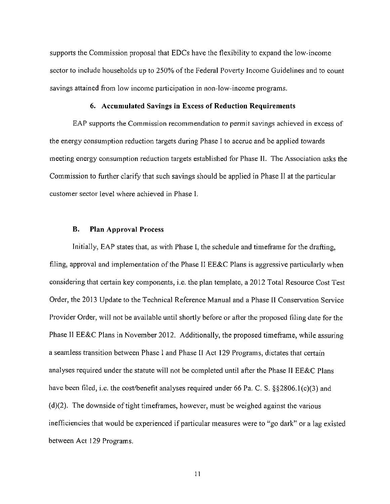supports the Commission proposal that EDCs have the flexibility to expand the low-income sector to include households up to 250% of the Federal Poverty Income Guidelines and to count savings attained from low income participation in non-low-income programs.

#### 6. Accumulated Savings in Excess of Reduction Requirements

EAP supports the Commission recommendation to permit savings achieved in excess of the energy consumption reduction targets during Phase 1 to accrue and be applied towards meeting energy consumption reduction targets established for Phase II. The Association asks the Commission to further clarify that such savings should be applied in Phase II at the particular customer sector level where achieved in Phase I.

#### **B. Plan Approval Process**

Initially, EAP states that, as with Phase I, the schedule and timeframe for the drafting, filing, approval and implementation of the Phase II EE&C Plans is aggressive particularly when considering that certain key components, i.e. the plan template, a 2012 Total Resource Cost Test Order, the 2013 Update to the Technical Reference Manual and a Phase II Conservation Service Provider Order, will not be available until shortly before or after the proposed filing date for the Phase II EE&C Plans in November 2012. Additionally, the proposed timeframe, while assuring a seamless transition between Phase I and Phase II Act 129 Programs, dictates that certain analyses required under the statute will not be completed until after the Phase II EE&C Plans have been filed, i.e. the cost/benefit analyses required under 66 Pa. C. S. §§2806.1(c)(3) and (d)(2). The downside of tight timeframes, however, must be weighed against the various inefficiencies that would be experienced if particular measures were to "go dark" or a lag existed between Act 129 Programs.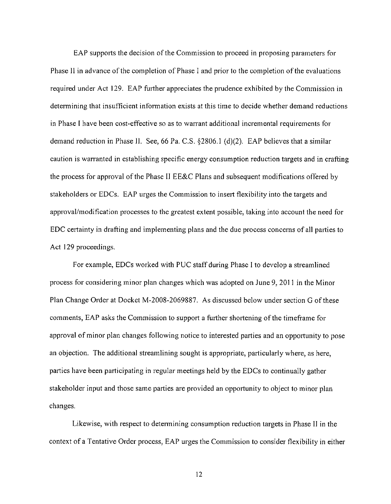EAP supports the decision of the Commission to proceed in proposing parameters for Phase 11 in advance of the completion of Phase I and prior to the completion of the evaluations required under Act 129. EAP further appreciates the prudence exhibited by the Commission in determining that insufficient information exists at this time to decide whether demand reductions in Phase I have been cost-etfective so as to warrant additional incremental requirements for demand reduction in Phase II. See, 66 Pa. C.S. §2806.1 (d)(2). EAP believes that a similar caution is warranted in establishing specific energy consumption reduction targets and in crafting the process for approval of the Phase II EE&C Plans and subsequent modifications offered by stakeholders or EDCs. EAP urges the Commission to insert flexibility into the targets and approval/modification processes to the greatest extent possible, taking into account the need for EDC certainty in drafting and implementing plans and the due process concerns of all parties to Act 129 proceedings.

For example, EDCs worked with PUC staff during Phase I to develop a streamlined process for considering minor plan changes which was adopted on June 9, 2011 in the Minor Plan Change Order at Docket M-2008-2069887. As discussed below under section G of these comments, EAP asks the Commission to support a further shortening of the timeframe for approval of minor plan changes following notice to interested parties and an opportunity to pose an objection. The additional streamlining sought is appropriate, particularly where, as here, parties have been participating in regular meetings held by the EDCs to continually gather stakeholder input and those same parties are provided an opportunity to object to minor plan changes.

Likewise, with respect to detennining consumption reduction targets in Phase II in the context of a Tentative Order process, EAP urges the Commission to consider flexibility in either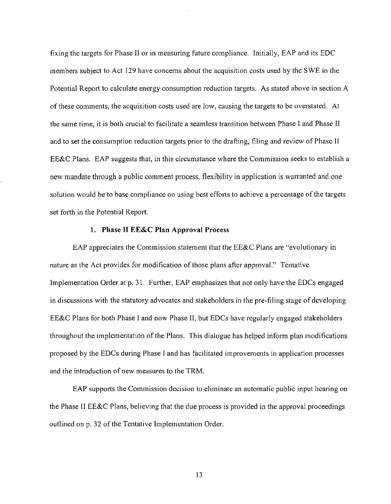fixing the targets for Phase II or in measuring future compliance. Initially, EAP and its EDC members subject to Act 129 have concerns about the acquisition costs used by the SWE in the Potential Report to calculate energy consumption reduction targets. As stated above in section A of these comments, the acquisition costs used are low, causing the targets to be overstated. At the same time, it is both crucial to facilitate a seamless transition between Phase I and Phase II and to set the consumption reduction targets prior to the drafting, filing and review of Phase II EE&C Plans. EAP suggests that, in this circumstance where the Commission seeks to establish a new mandate through a public comment process, flexibility in application is warranted and one solution would be to base compliance on using best efforts to achieve a percentage of the targets set forth in the Potential Report.

#### **1. Phase 11 EE&C Plan Approval Process**

EAP appreciates the Commission statement that the EE&C Plans are "evolutionary in nature as the Act provides for modification of those plans after approval." Tentative Implementation Order at p. 31. Further, EAP emphasizes that not only have the EDCs engaged in discussions with the statutory advocates and stakeholders in the pre-filing stage of developing EE&C Plans for both Phase I and now Phase II, but EDCs have regularly engaged stakeholders throughout the implementation of the Plans. This dialogue has helped inform plan modifications proposed by the EDCs during Phase I and has facilitated improvements in application processes and the introduction of new measures to the TRM.

EAP supports the Commission decision to eliminate an automatic public input hearing on the Phase II EE&C Plans, believing that the due process is provided in the approval proceedings outlined on p. 32 of the Tentative Implementation Order.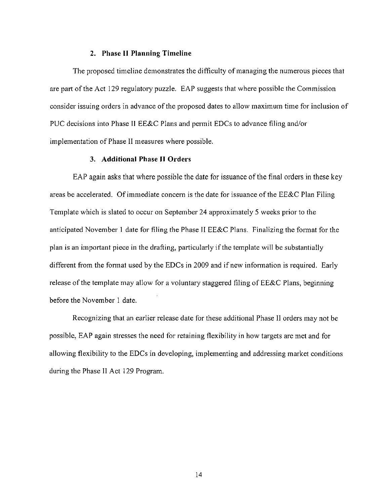#### **2. Phase 11 Planning Timeline**

The proposed timeline demonstrates the difficulty of managing the numerous pieces that are part of the Act 129 regulatory puzzle. EAP suggests that where possible the Commission consider issuing orders in advance of the proposed dates to allow maximum time for inclusion of PUC decisions into Phase II EE&C Plans and permit EDCs to advance filing and/or implementation of Phase II measures where possible.

#### **3. Additional Phase IT Orders**

EAP again asks that where possible the date for issuance of the final orders in these key areas be accelerated. Of immediate concern is the date for issuance of the EE&C Plan Filing Template which is slated to occur on September 24 approximately 5 weeks prior to the anticipated November 1 date for filing the Phase II EE&C Plans. Finalizing the fonnat for the plan is an important piece in the drafting, particularly if the template will be substantially different from the fonnat used by the EDCs in 2009 and if new infonnation is required. Early release of the template may allow for a voluntary staggered filing of EE&C Plans, beginning before the November 1 date.

Recognizing that an earlier release date for these additional Phase II orders may not be possible, EAP again stresses the need for retaining flexibility in how targets are met and for allowing flexibility to the EDCs in developing, implementing and addressing market conditions during the Phase II Act 129 Program.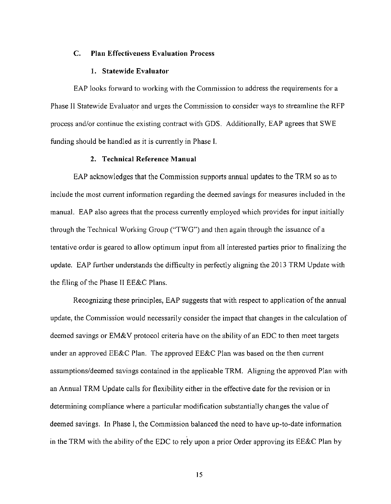#### **C. Plan Effectiveness Evaluation Process**

#### **1. Statewide Evaluator**

**EAP looks forward to working with the Commission to address the requirements for a Phase II Statewide Evaluator and urges the Commission to consider ways to streamline the RFP process and/or continue the existing contract with GDS. Additionally, EAP agrees that SWE funding should be handled as it is currently in Phase I.** 

#### **2. Technical Reference Manual**

EAP acknowledges that the Commission supports annual updates to the TRM so as to include the most current infonnation regarding the deemed savings for measures included in the manual. EAP also agrees that the process currently employed which provides for input initially through the Technical Working Group ("TWG") and then again through the issuance of a tentative order is geared to allow optimum input from all interested parties prior to finalizing the update. EAP further understands the difficulty in perfectly aligning the 2013 TRM Update with the filing of the Phase II EE&C Plans.

Recognizing these principles, EAP suggests that with respect to application of the annual update, the Commission would necessarily consider the impact that changes in the calculation of deemed savings or EM&V protocol criteria have on the ability of an EDC to then meet targets under an approved EE&C Plan. The approved EE&C Plan was based on the then current assumptions/deemed savings contained in the applicable TRM. Aligning the approved Plan with an Annual TRM Update calls for flexibility either in the effective date for the revision or in determining compliance where a particular modification substantially changes the value of deemed savings. In Phase I, the Commission balanced the need to have up-to-date infonnation in the TRM with the ability of the EDC to rely upon a prior Order approving its EE&C Plan by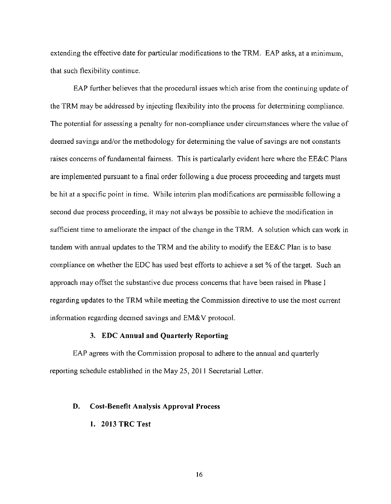extending the effective date for particular modifications to the TRM. EAP asks, at a minimum, that such flexibility continue.

EAP further believes that the procedural issues which arise from the continuing update of the TRM may be addressed by injecting flexibility into the process for detennining compliance. The potential for assessing a penalty for non-compliance under circumstances where the value of deemed savings and/or the methodology for detennining the value of savings are not constants raises concerns of fundamental fairness. This is particularly evident here where the EE&C Plans are implemented pursuant to a final order following a due process proceeding and targets must be hit at a specific point in time. While interim plan modifications are permissible following a second due process proceeding, it may not always be possible to achieve the modification in sufficient time to ameliorate the impact of the change in the TRM. A solution which can work in tandem with annual updates to the TRM and the ability to modify the EE&C Plan is to base compliance on whether the EDC has used best efforts to achieve a set % of the target. Such an approach may offset the substantive due process concerns that have been raised in Phase I regarding updates to the TRM while meeting the Commission directive to use the most current information regarding deemed savings and EM&V protocol.

#### **3. EDC Annual and Quarterly Reporting**

EAP agrees with the Commission proposal to adhere to the annual and quarterly reporting schedule established in the May 25, 2011 Secretarial Letter.

#### **D. Cost-Benefit Analysis Approval Process**

#### **1. 2013 TRC Test**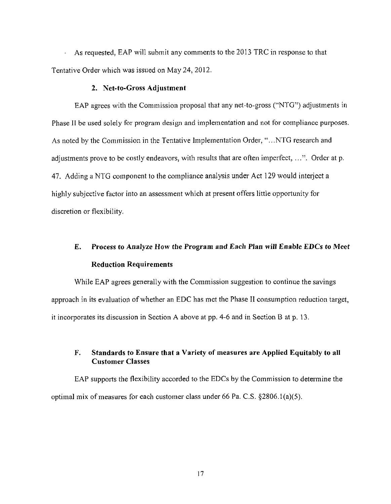**As requested, EAP will submit any comments to the 2013 TRC in response to that Tentative Order which was issued on May 24, 2012.** 

#### **2. Net-to-Gross Adjustment**

EAP agrees with the Commission proposal that any net-to-gross ("NTG") adjustments in Phase II be used solely for program design and implementation and not for compliance purposes. As noted by the Commission in the Tentative Implementation Order, "...NTG research and adjustments prove to be costly endeavors, with results that are often imperfect,  $\dots$ ". Order at p. 47. Adding a NTG component to the compliance analysis under Act 129 would interject a highly subjective factor into an assessment which at present offers little opportunity for discretion or flexibility.

## **E. Process to Analyze How the Program and Each Plan will Enable EDCs to Meet Reduction Requirements**

While EAP agrees generally with the Commission suggestion to continue the savings approach in its evaluation of whether an EDC has met the Phase II consumption reduction target, it incorporates its discussion in Section A above at pp. 4-6 and in Section B at p. 13.

#### **F. Standards to Ensure that a Variety of measures are Applied Equitably to all Customer Classes**

EAP supports the flexibility accorded to the EDCs by the Commission to determine the optimal mix of measures for each customer class under 66 Pa. C.S.  $\S 2806.1(a)(5)$ .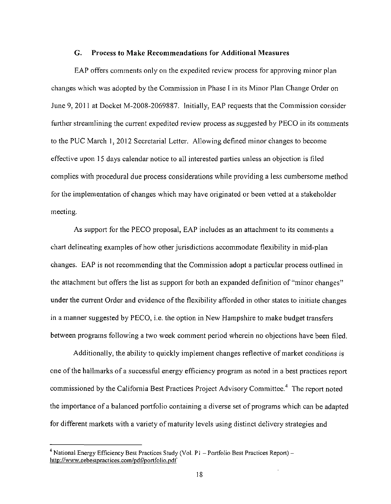#### **G. Process to Make Recommendations for Additional Measures**

EAP offers comments only on the expedited review process for approving minor plan changes which was adopted by the Commission in Phase I in its Minor Plan Change Order on June 9, 2011 at Docket M-2008-2069887. Initially, EAP requests that the Commission consider further streamlining the current expedited review process as suggested by PECO in its comments to the PUC March 1, 2012 Secretarial Letter. Allowing defined minor changes to become effective upon 15 days calendar notice to all interested parties unless an objection is filed complies with procedural due process considerations while providing a less cumbersome method for the implementation of changes which may have originated or been vetted at a stakeholder meeting.

As support for the PECO proposal, EAP includes as an attachment to its comments a chart delineating examples of how other jurisdictions accommodate flexibility in mid-plan changes. EAP is not recommending that the Commission adopt a particular process outlined in the attachment but offers the list as support for both an expanded definition of "minor changes" under the current Order and evidence of the flexibility afforded in other states to initiate changes in a manner suggested by PECO, i.e. the option in New Hampshire to make budget transfers between programs following a two week comment period wherein no objections have been filed.

Additionally, the ability to quickly implement changes reflective of market conditions is one of the hallmarks of a successhil energy efficiency program as noted in a best practices report commissioned by the California Best Practices Project Advisory Committee.<sup>4</sup> The report noted the importance of a balanced portfolio containing a diverse set of programs which can be adapted for different markets with a variety of maturity levels using distinct delivery strategies and

<sup>&</sup>lt;sup>4</sup> National Energy Efficiency Best Practices Study (Vol. P1 - Portfolio Best Practices Report) http://www.eebestpractices.com/pdf/portfolio.pdf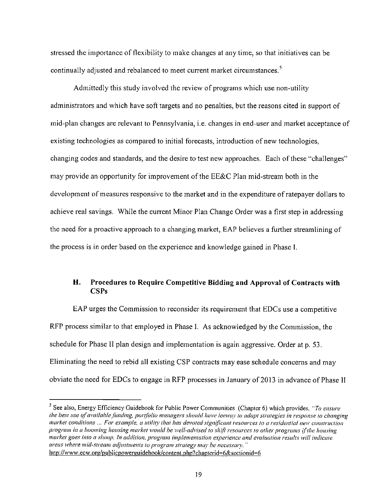stressed the importance of flexibility to make changes at any time, so that initiatives can be continually adjusted and rebalanced to meet current market circumstances.<sup>5</sup>

**Admittedly this study involved the review of programs which use non-utility administrators and which have soft targets and no penalties, but the reasons cited in support of mid-plan changes are relevant to Pennsylvania, i.e. changes in end-user and market acceptance of existing technologies as compared to initial forecasts, introduction of new technologies, changing codes and standards, and the desire to test new approaches. Each of these "challenges" may provide an opportunity for improvement of the EE&C Plan mid-stream both in the development of measures responsive to the market and in the expenditure of ratepayer dollars to**  achieve real savings. While the current Minor Plan Change Order was a first step in addressing **the need for a proactive approach to a changing market, EAP believes a further streamlining of the process is in order based on the experience and knowledge gained in Phase I.** 

#### **H. Procedures to Require Competitive Bidding and Approval of Contracts with CSPs**

EAP urges the Commission to reconsider its requirement that EDCs use a competitive RFP process similar to that employed in Phase I. As acknowledged by the Commission, the schedule for Phase II plan design and implementation is again aggressive. Order at p. 53. Eliminating the need to rebid all existing CSP contracts may ease schedule concerns and may obviate the need for EDCs to engage in RFP processes in January of 2013 in advance of Phase II

<sup>&</sup>lt;sup>5</sup> See also, Energy Efficiency Guidebook for Public Power Communities (Chapter 6) which provides, "To ensure the best use of available funding, portfolio managers should have leeway to adapt strategies in response to changing market conditions ... For example, a utility that has devoted significant resources to a residential new construction program in a booming housing market would be well-advised to shift resources to other programs if the housing market goes into a slump. In addition, program implementation experience and evaluation results will indicate areas where mid-stream adjustments to program strategy may be necessary. " http://www.ecw.org/publicpower guidebook/content.pln?chapterid=6&sectionid=6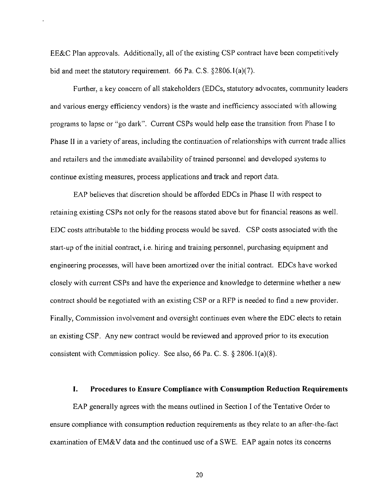EE&C Plan approvals. Additionally, all of the existing CSP contract have been competitively bid and meet the statutory requirement. 66 Pa. C.S. §2806.1(a)(7).

Further, a key concern of all stakeholders (EDCs, statutory advocates, community leaders and various energy efficiency vendors) is the waste and inefficiency associated with allowing programs to lapse or "go dark". Current CSPs would help ease the transition from Phase I to Phase II in a variety of areas, including the continuation of relationships with current trade allies and retailers and the immediate availability of trained personnel and developed systems to continue existing measures, process applications and track and report data.

EAP believes that discretion should be afforded EDCs in Phase II with respect to retaining existing CSPs not only for the reasons stated above but for financial reasons as well. EDC costs attributable to the bidding process would be saved. CSP costs associated with the start-up of the initial contract, i.e. hiring and training personnel, purchasing equipment and engineering processes, will have been amortized over the initial contract. EDCs have worked closely with current CSPs and have the experience and knowledge to detennine whether a new contract should be negotiated with an existing CSP or a RFP is needed to find a new provider. Finally, Commission involvement and oversight continues even where the EDC elects to retain an existing CSP. Any new contract would be reviewed and approved prior to its execution consistent with Commission policy. See also, 66 Pa. C. S. § 2806.1(a)(8).

#### **I. Procedures to Ensure Compliance with Consumption Reduction Requirements**

EAP generally agrees with the means outlined in Section I of the Tentative Order to ensure compliance with consumption reduction requirements as they relate to an after-the-fact examination of EM&V data and the continued use of a SWE. EAP again notes its concerns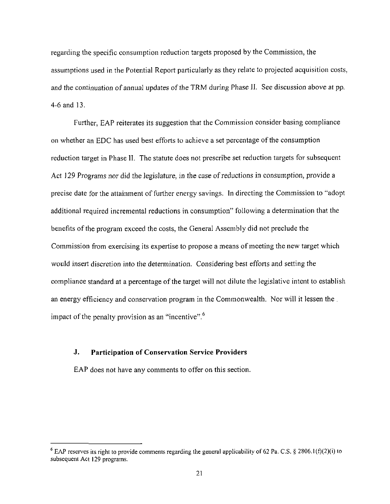regarding the specific consumption reduction targets proposed by the Commission, the assumptions used in the Potential Report particularly as they relate to projected acquisition costs, and the continuation of annual updates of the TRM during Phase II. See discussion above at pp. 4-6 and 13.

Further, EAP reiterates its suggestion that the Commission consider basing compliance on whether an EDC has used best efforts to achieve a set percentage of the consumption reduction target in Phase II. The statute does not prescribe set reduction targets for subsequent Act 129 Programs nor did the legislature, in the case of reductions in consumption, provide a precise date for the attainment of further energy savings. In directing the Commission to "adopt additional required incremental reductions in consumption" following a determination that the benefits of the program exceed the costs, the General Assembly did not preclude the Commission from exercising its expertise to propose a means of meeting the new target which would insert discretion into the determination. Considering best efforts and setting the compliance standard at a percentage of the target will not dilute the legislative intent to establish an energy efficiency and conservation program in the Commonwealth. Nor will it lessen the . impact of the penalty provision as an "incentive". $6$ 

#### **J. Participation of Conservation Service Providers**

EAP does not have any comments to offer on this section.

<sup>&</sup>lt;sup>6</sup> EAP reserves its right to provide comments regarding the general applicability of 62 Pa. C.S. § 2806.1(f)(2)(i) to subsequent Act 129 programs.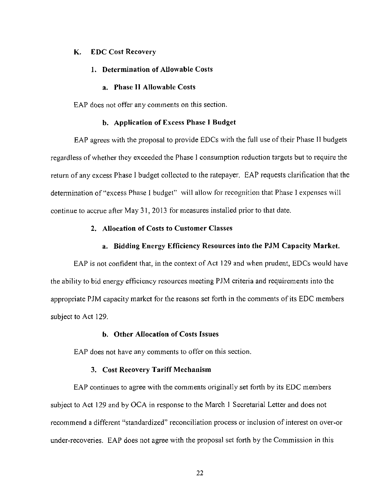#### **K. EDC Cost Recovery**

#### **1. Determination of Allowable Costs**

#### **a. Phase II Allowable Costs**

EAP does not offer any comments on this section.

#### **b. Application of Excess Phase I Budget**

EAP agrees with the proposal to provide EDCs with the full use of their Phase II budgets regardless of whether they exceeded the Phase I consumption reduction targets but to require the return of any excess Phase I budget collected to the ratepayer. EAP requests clarification that the determination of "excess Phase I budget" will allow for recognition that Phase I expenses will continue to accrue after May 31, 2013 for measures installed prior to that date.

#### **2. Allocation of Costs to Customer Classes**

#### a. Bidding Energy Efficiency Resources into the PJM Capacity Market.

EAP is not confident that, in the context of Act 129 and when prudent, EDCs would have the ability to bid energy efficiency resources meeting PJM criteria and requirements into the appropriate PJM capacity market for the reasons set forth in the comments of its EDC members subject to Act 129.

#### **b. Other Allocation of Costs Issues**

EAP does not have any comments to offer on this section.

#### **3. Cost Recovery Tariff Mechanism**

EAP continues to agree with the comments originally set forth by its EDC members subject to Act 129 and by OCA in response to the March 1 Secretarial Letter and does not recommend a different "standardized" reconciliation process or inclusion of interest on over-or under-recoveries. EAP does not agree with the proposal set forth by the Commission in this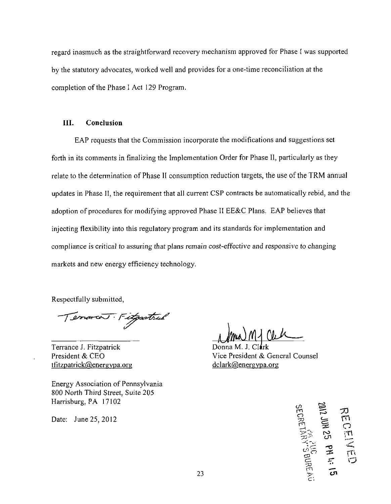regard inasmuch as the straightforward recovery mechanism approved for Phase I was supported by the statutory advocates, worked well and provides for a one-time reconciliation at the completion of the Phase I Act 129 Program.

#### III. Conclusion

EAP requests that the Commission incorporate the modifications and suggestions set forth in its comments in finalizing the Implementation Order for Phase II, particularly as they relate to the determination of Phase II consumption reduction targets, the use of the TRM annual updates in Phase II, the requirement that all current CSP contracts be automatically rebid, and the adoption of procedures for modifying approved Phase II EE&C Plans. EAP believes that injecting flexibility into this regulatory program and its standards for implementation and compliance is critical to assuring that plans remain cost-effective and responsive to changing markets and new energy efficiency technology.

Respectfully submitted,

Terrarcos Fitgastrul

Terrance J. Fitzpatrick President & CEO  $t$ fitzpatrick $@$ energypa.org

Energy Association of Pennsylvania 800 North Third Street, Suite 205 Harrisburg, PA 17102

Date: June 25, 2012

Donna M. J. Clark Vice President & General Counsel dclark@energypa.org